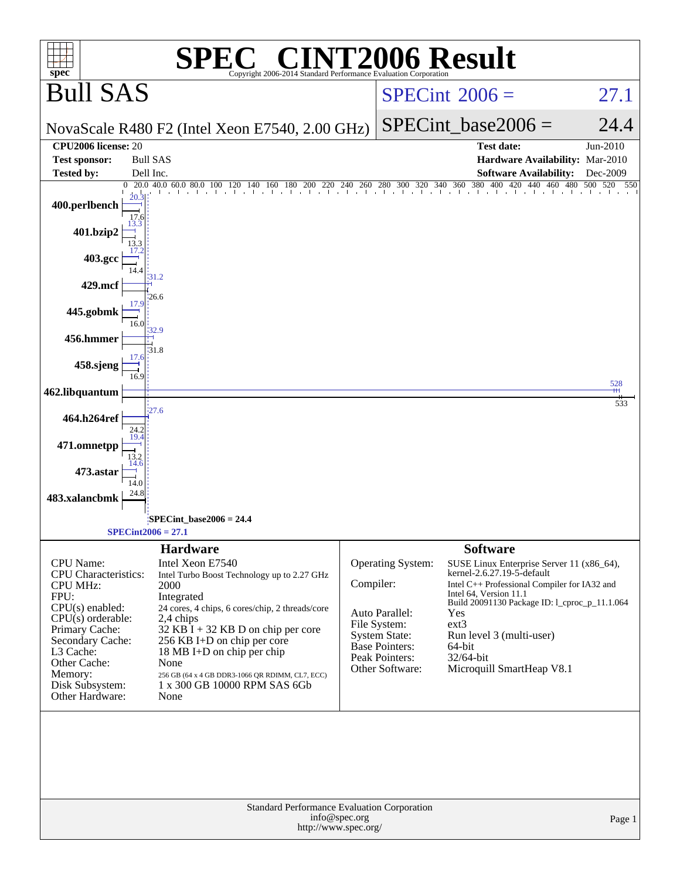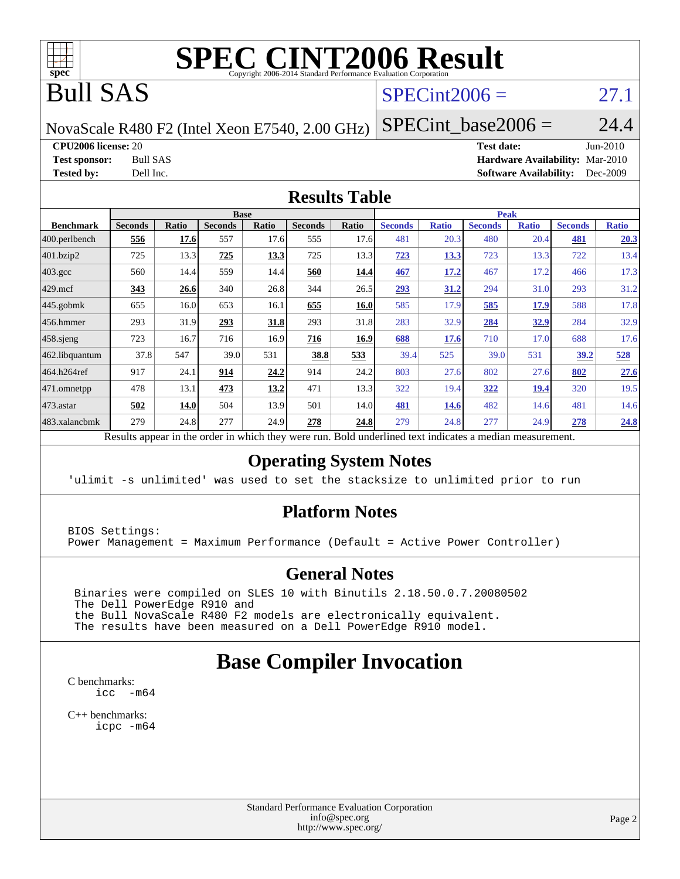

# **[SPEC CINT2006 Result](http://www.spec.org/auto/cpu2006/Docs/result-fields.html#SPECCINT2006Result)**

# Bull SAS

### $SPECint2006 = 27.1$  $SPECint2006 = 27.1$

NovaScale R480 F2 (Intel Xeon E7540, 2.00 GHz)

SPECint base2006 =  $24.4$ 

**[CPU2006 license:](http://www.spec.org/auto/cpu2006/Docs/result-fields.html#CPU2006license)** 20 **[Test date:](http://www.spec.org/auto/cpu2006/Docs/result-fields.html#Testdate)** Jun-2010 **[Test sponsor:](http://www.spec.org/auto/cpu2006/Docs/result-fields.html#Testsponsor)** Bull SAS **[Hardware Availability:](http://www.spec.org/auto/cpu2006/Docs/result-fields.html#HardwareAvailability)** Mar-2010 **[Tested by:](http://www.spec.org/auto/cpu2006/Docs/result-fields.html#Testedby)** Dell Inc. **[Software Availability:](http://www.spec.org/auto/cpu2006/Docs/result-fields.html#SoftwareAvailability)** Dec-2009

### **[Results Table](http://www.spec.org/auto/cpu2006/Docs/result-fields.html#ResultsTable)**

|                    |                |       | <b>Base</b>    |              |                |       |                |              | <b>Peak</b>    |              |                |              |
|--------------------|----------------|-------|----------------|--------------|----------------|-------|----------------|--------------|----------------|--------------|----------------|--------------|
| <b>Benchmark</b>   | <b>Seconds</b> | Ratio | <b>Seconds</b> | <b>Ratio</b> | <b>Seconds</b> | Ratio | <b>Seconds</b> | <b>Ratio</b> | <b>Seconds</b> | <b>Ratio</b> | <b>Seconds</b> | <b>Ratio</b> |
| 400.perlbench      | 556            | 17.6  | 557            | 17.6         | 555            | 17.6  | 481            | 20.3         | 480            | 20.4         | <u>481</u>     | 20.3         |
| 401.bzip2          | 725            | 13.3  | 725            | 13.3         | 725            | 13.3  | 723            | <u>13.3</u>  | 723            | 13.3         | 722            | 13.4         |
| $403.\mathrm{gcc}$ | 560            | 14.4  | 559            | 14.4         | 560            | 14.4  | 467            | 17.2         | 467            | 17.2         | 466            | 17.3         |
| $429$ .mcf         | 343            | 26.6  | 340            | 26.8         | 344            | 26.5  | 293            | 31.2         | 294            | 31.0         | 293            | 31.2         |
| 445.gobmk          | 655            | 16.0  | 653            | 16.1         | 655            | 16.0  | 585            | 17.9         | 585            | 17.9         | 588            | 17.8         |
| $456.$ hmmer       | 293            | 31.9  | 293            | 31.8         | 293            | 31.8  | 283            | 32.9         | 284            | 32.9         | 284            | 32.9         |
| $458$ .sjeng       | 723            | 16.7  | 716            | 16.9         | 716            | 16.9  | 688            | 17.6         | 710            | 17.0         | 688            | 17.6         |
| 462.libquantum     | 37.8           | 547   | 39.0           | 531          | 38.8           | 533   | 39.4           | 525          | 39.0           | 531          | <u>39.2</u>    | 528          |
| 464.h264ref        | 917            | 24.1  | 914            | 24.2         | 914            | 24.2  | 803            | 27.6         | 802            | 27.6         | 802            | 27.6         |
| 471.omnetpp        | 478            | 13.1  | 473            | 13.2         | 471            | 13.3  | 322            | 19.4         | 322            | 19.4         | 320            | 19.5         |
| $473$ . astar      | 502            | 14.0  | 504            | 13.9         | 501            | 14.0  | 481            | <b>14.6</b>  | 482            | 14.6         | 481            | 14.6         |
| 483.xalancbmk      | 279            | 24.8  | 277            | 24.9         | 278            | 24.8  | 279            | 24.8         | 277            | 24.9         | 278            | 24.8         |

Results appear in the [order in which they were run.](http://www.spec.org/auto/cpu2006/Docs/result-fields.html#RunOrder) Bold underlined text [indicates a median measurement.](http://www.spec.org/auto/cpu2006/Docs/result-fields.html#Median)

### **[Operating System Notes](http://www.spec.org/auto/cpu2006/Docs/result-fields.html#OperatingSystemNotes)**

'ulimit -s unlimited' was used to set the stacksize to unlimited prior to run

### **[Platform Notes](http://www.spec.org/auto/cpu2006/Docs/result-fields.html#PlatformNotes)**

BIOS Settings: Power Management = Maximum Performance (Default = Active Power Controller)

### **[General Notes](http://www.spec.org/auto/cpu2006/Docs/result-fields.html#GeneralNotes)**

 Binaries were compiled on SLES 10 with Binutils 2.18.50.0.7.20080502 The Dell PowerEdge R910 and the Bull NovaScale R480 F2 models are electronically equivalent. The results have been measured on a Dell PowerEdge R910 model.

## **[Base Compiler Invocation](http://www.spec.org/auto/cpu2006/Docs/result-fields.html#BaseCompilerInvocation)**

[C benchmarks](http://www.spec.org/auto/cpu2006/Docs/result-fields.html#Cbenchmarks): [icc -m64](http://www.spec.org/cpu2006/results/res2010q3/cpu2006-20100621-11964.flags.html#user_CCbase_intel_icc_64bit_f346026e86af2a669e726fe758c88044)

[C++ benchmarks:](http://www.spec.org/auto/cpu2006/Docs/result-fields.html#CXXbenchmarks) [icpc -m64](http://www.spec.org/cpu2006/results/res2010q3/cpu2006-20100621-11964.flags.html#user_CXXbase_intel_icpc_64bit_fc66a5337ce925472a5c54ad6a0de310)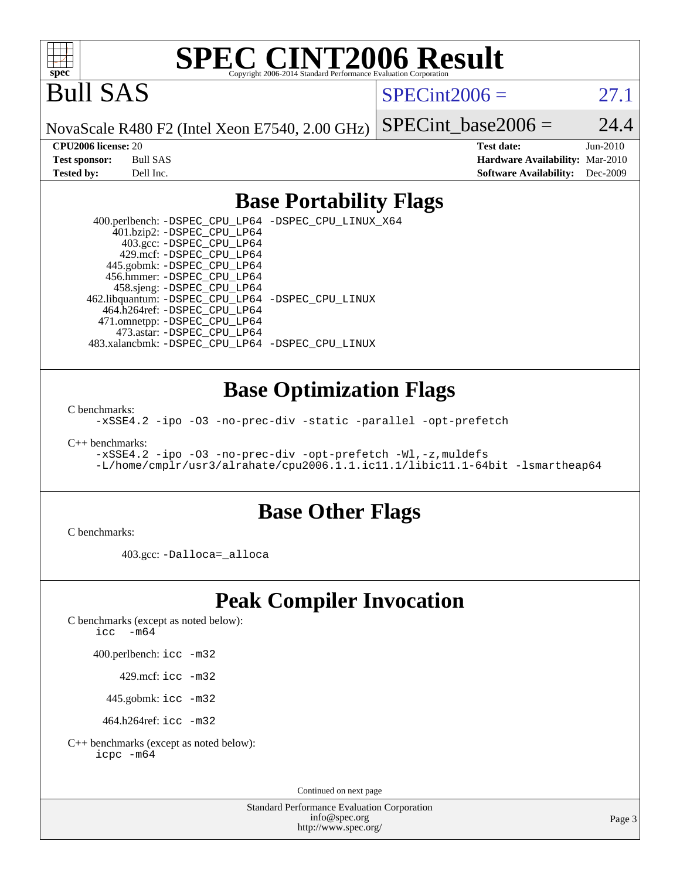

# **[SPEC CINT2006 Result](http://www.spec.org/auto/cpu2006/Docs/result-fields.html#SPECCINT2006Result)**

Bull SAS

 $SPECint2006 = 27.1$  $SPECint2006 = 27.1$ 

NovaScale R480 F2 (Intel Xeon E7540, 2.00 GHz)

SPECint base2006 =  $24.4$ 

**[CPU2006 license:](http://www.spec.org/auto/cpu2006/Docs/result-fields.html#CPU2006license)** 20 **[Test date:](http://www.spec.org/auto/cpu2006/Docs/result-fields.html#Testdate)** Jun-2010 **[Test sponsor:](http://www.spec.org/auto/cpu2006/Docs/result-fields.html#Testsponsor)** Bull SAS **[Hardware Availability:](http://www.spec.org/auto/cpu2006/Docs/result-fields.html#HardwareAvailability)** Mar-2010 **[Tested by:](http://www.spec.org/auto/cpu2006/Docs/result-fields.html#Testedby)** Dell Inc. **[Software Availability:](http://www.spec.org/auto/cpu2006/Docs/result-fields.html#SoftwareAvailability)** Dec-2009

### **[Base Portability Flags](http://www.spec.org/auto/cpu2006/Docs/result-fields.html#BasePortabilityFlags)**

 400.perlbench: [-DSPEC\\_CPU\\_LP64](http://www.spec.org/cpu2006/results/res2010q3/cpu2006-20100621-11964.flags.html#b400.perlbench_basePORTABILITY_DSPEC_CPU_LP64) [-DSPEC\\_CPU\\_LINUX\\_X64](http://www.spec.org/cpu2006/results/res2010q3/cpu2006-20100621-11964.flags.html#b400.perlbench_baseCPORTABILITY_DSPEC_CPU_LINUX_X64) 401.bzip2: [-DSPEC\\_CPU\\_LP64](http://www.spec.org/cpu2006/results/res2010q3/cpu2006-20100621-11964.flags.html#suite_basePORTABILITY401_bzip2_DSPEC_CPU_LP64) 403.gcc: [-DSPEC\\_CPU\\_LP64](http://www.spec.org/cpu2006/results/res2010q3/cpu2006-20100621-11964.flags.html#suite_basePORTABILITY403_gcc_DSPEC_CPU_LP64) 429.mcf: [-DSPEC\\_CPU\\_LP64](http://www.spec.org/cpu2006/results/res2010q3/cpu2006-20100621-11964.flags.html#suite_basePORTABILITY429_mcf_DSPEC_CPU_LP64) 445.gobmk: [-DSPEC\\_CPU\\_LP64](http://www.spec.org/cpu2006/results/res2010q3/cpu2006-20100621-11964.flags.html#suite_basePORTABILITY445_gobmk_DSPEC_CPU_LP64) 456.hmmer: [-DSPEC\\_CPU\\_LP64](http://www.spec.org/cpu2006/results/res2010q3/cpu2006-20100621-11964.flags.html#suite_basePORTABILITY456_hmmer_DSPEC_CPU_LP64) 458.sjeng: [-DSPEC\\_CPU\\_LP64](http://www.spec.org/cpu2006/results/res2010q3/cpu2006-20100621-11964.flags.html#suite_basePORTABILITY458_sjeng_DSPEC_CPU_LP64) 462.libquantum: [-DSPEC\\_CPU\\_LP64](http://www.spec.org/cpu2006/results/res2010q3/cpu2006-20100621-11964.flags.html#suite_basePORTABILITY462_libquantum_DSPEC_CPU_LP64) [-DSPEC\\_CPU\\_LINUX](http://www.spec.org/cpu2006/results/res2010q3/cpu2006-20100621-11964.flags.html#b462.libquantum_baseCPORTABILITY_DSPEC_CPU_LINUX) 464.h264ref: [-DSPEC\\_CPU\\_LP64](http://www.spec.org/cpu2006/results/res2010q3/cpu2006-20100621-11964.flags.html#suite_basePORTABILITY464_h264ref_DSPEC_CPU_LP64) 471.omnetpp: [-DSPEC\\_CPU\\_LP64](http://www.spec.org/cpu2006/results/res2010q3/cpu2006-20100621-11964.flags.html#suite_basePORTABILITY471_omnetpp_DSPEC_CPU_LP64) 473.astar: [-DSPEC\\_CPU\\_LP64](http://www.spec.org/cpu2006/results/res2010q3/cpu2006-20100621-11964.flags.html#suite_basePORTABILITY473_astar_DSPEC_CPU_LP64) 483.xalancbmk: [-DSPEC\\_CPU\\_LP64](http://www.spec.org/cpu2006/results/res2010q3/cpu2006-20100621-11964.flags.html#suite_basePORTABILITY483_xalancbmk_DSPEC_CPU_LP64) [-DSPEC\\_CPU\\_LINUX](http://www.spec.org/cpu2006/results/res2010q3/cpu2006-20100621-11964.flags.html#b483.xalancbmk_baseCXXPORTABILITY_DSPEC_CPU_LINUX)

### **[Base Optimization Flags](http://www.spec.org/auto/cpu2006/Docs/result-fields.html#BaseOptimizationFlags)**

[C benchmarks](http://www.spec.org/auto/cpu2006/Docs/result-fields.html#Cbenchmarks):

[-xSSE4.2](http://www.spec.org/cpu2006/results/res2010q3/cpu2006-20100621-11964.flags.html#user_CCbase_f-xSSE42_f91528193cf0b216347adb8b939d4107) [-ipo](http://www.spec.org/cpu2006/results/res2010q3/cpu2006-20100621-11964.flags.html#user_CCbase_f-ipo) [-O3](http://www.spec.org/cpu2006/results/res2010q3/cpu2006-20100621-11964.flags.html#user_CCbase_f-O3) [-no-prec-div](http://www.spec.org/cpu2006/results/res2010q3/cpu2006-20100621-11964.flags.html#user_CCbase_f-no-prec-div) [-static](http://www.spec.org/cpu2006/results/res2010q3/cpu2006-20100621-11964.flags.html#user_CCbase_f-static) [-parallel](http://www.spec.org/cpu2006/results/res2010q3/cpu2006-20100621-11964.flags.html#user_CCbase_f-parallel) [-opt-prefetch](http://www.spec.org/cpu2006/results/res2010q3/cpu2006-20100621-11964.flags.html#user_CCbase_f-opt-prefetch)

[C++ benchmarks:](http://www.spec.org/auto/cpu2006/Docs/result-fields.html#CXXbenchmarks)

[-xSSE4.2](http://www.spec.org/cpu2006/results/res2010q3/cpu2006-20100621-11964.flags.html#user_CXXbase_f-xSSE42_f91528193cf0b216347adb8b939d4107) [-ipo](http://www.spec.org/cpu2006/results/res2010q3/cpu2006-20100621-11964.flags.html#user_CXXbase_f-ipo) [-O3](http://www.spec.org/cpu2006/results/res2010q3/cpu2006-20100621-11964.flags.html#user_CXXbase_f-O3) [-no-prec-div](http://www.spec.org/cpu2006/results/res2010q3/cpu2006-20100621-11964.flags.html#user_CXXbase_f-no-prec-div) [-opt-prefetch](http://www.spec.org/cpu2006/results/res2010q3/cpu2006-20100621-11964.flags.html#user_CXXbase_f-opt-prefetch) [-Wl,-z,muldefs](http://www.spec.org/cpu2006/results/res2010q3/cpu2006-20100621-11964.flags.html#user_CXXbase_link_force_multiple1_74079c344b956b9658436fd1b6dd3a8a) [-L/home/cmplr/usr3/alrahate/cpu2006.1.1.ic11.1/libic11.1-64bit -lsmartheap64](http://www.spec.org/cpu2006/results/res2010q3/cpu2006-20100621-11964.flags.html#user_CXXbase_SmartHeap64_e2306cda84805d1ab360117a79ff779c)

### **[Base Other Flags](http://www.spec.org/auto/cpu2006/Docs/result-fields.html#BaseOtherFlags)**

[C benchmarks](http://www.spec.org/auto/cpu2006/Docs/result-fields.html#Cbenchmarks):

403.gcc: [-Dalloca=\\_alloca](http://www.spec.org/cpu2006/results/res2010q3/cpu2006-20100621-11964.flags.html#b403.gcc_baseEXTRA_CFLAGS_Dalloca_be3056838c12de2578596ca5467af7f3)

## **[Peak Compiler Invocation](http://www.spec.org/auto/cpu2006/Docs/result-fields.html#PeakCompilerInvocation)**

[C benchmarks \(except as noted below\)](http://www.spec.org/auto/cpu2006/Docs/result-fields.html#Cbenchmarksexceptasnotedbelow):

[icc -m64](http://www.spec.org/cpu2006/results/res2010q3/cpu2006-20100621-11964.flags.html#user_CCpeak_intel_icc_64bit_f346026e86af2a669e726fe758c88044)

400.perlbench: [icc -m32](http://www.spec.org/cpu2006/results/res2010q3/cpu2006-20100621-11964.flags.html#user_peakCCLD400_perlbench_intel_icc_32bit_a6a621f8d50482236b970c6ac5f55f93)

429.mcf: [icc -m32](http://www.spec.org/cpu2006/results/res2010q3/cpu2006-20100621-11964.flags.html#user_peakCCLD429_mcf_intel_icc_32bit_a6a621f8d50482236b970c6ac5f55f93)

445.gobmk: [icc -m32](http://www.spec.org/cpu2006/results/res2010q3/cpu2006-20100621-11964.flags.html#user_peakCCLD445_gobmk_intel_icc_32bit_a6a621f8d50482236b970c6ac5f55f93)

464.h264ref: [icc -m32](http://www.spec.org/cpu2006/results/res2010q3/cpu2006-20100621-11964.flags.html#user_peakCCLD464_h264ref_intel_icc_32bit_a6a621f8d50482236b970c6ac5f55f93)

[C++ benchmarks \(except as noted below\):](http://www.spec.org/auto/cpu2006/Docs/result-fields.html#CXXbenchmarksexceptasnotedbelow) [icpc -m64](http://www.spec.org/cpu2006/results/res2010q3/cpu2006-20100621-11964.flags.html#user_CXXpeak_intel_icpc_64bit_fc66a5337ce925472a5c54ad6a0de310)

Continued on next page

Standard Performance Evaluation Corporation [info@spec.org](mailto:info@spec.org) <http://www.spec.org/>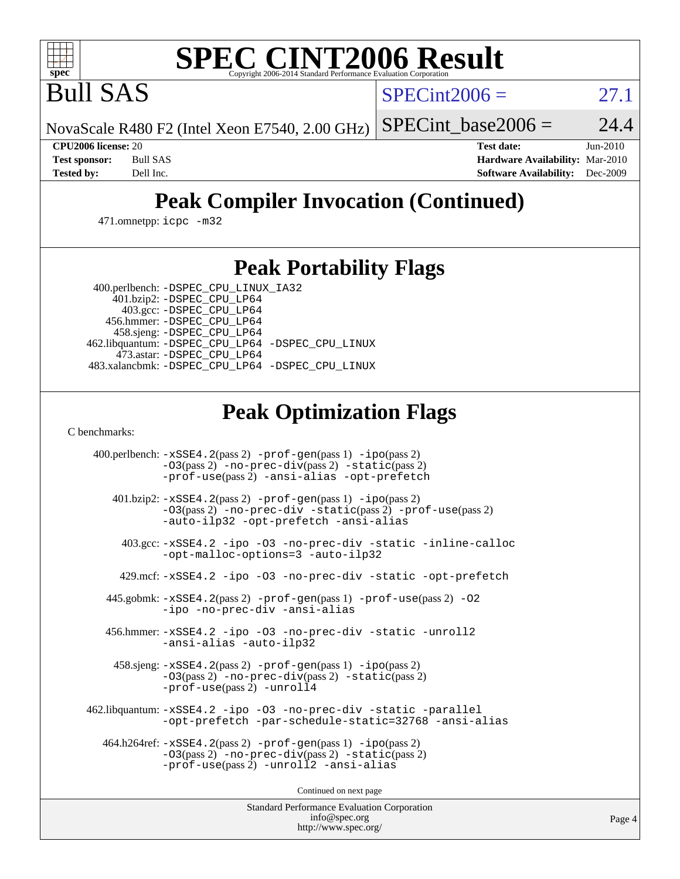

# **[SPEC CINT2006 Result](http://www.spec.org/auto/cpu2006/Docs/result-fields.html#SPECCINT2006Result)**

Bull SAS

 $SPECint2006 = 27.1$  $SPECint2006 = 27.1$ 

NovaScale R480 F2 (Intel Xeon E7540, 2.00 GHz)

SPECint base2006 =  $24.4$ 

**[CPU2006 license:](http://www.spec.org/auto/cpu2006/Docs/result-fields.html#CPU2006license)** 20 **[Test date:](http://www.spec.org/auto/cpu2006/Docs/result-fields.html#Testdate)** Jun-2010 **[Test sponsor:](http://www.spec.org/auto/cpu2006/Docs/result-fields.html#Testsponsor)** Bull SAS **[Hardware Availability:](http://www.spec.org/auto/cpu2006/Docs/result-fields.html#HardwareAvailability)** Mar-2010 **[Tested by:](http://www.spec.org/auto/cpu2006/Docs/result-fields.html#Testedby)** Dell Inc. **[Software Availability:](http://www.spec.org/auto/cpu2006/Docs/result-fields.html#SoftwareAvailability)** Dec-2009

# **[Peak Compiler Invocation \(Continued\)](http://www.spec.org/auto/cpu2006/Docs/result-fields.html#PeakCompilerInvocation)**

471.omnetpp: [icpc -m32](http://www.spec.org/cpu2006/results/res2010q3/cpu2006-20100621-11964.flags.html#user_peakCXXLD471_omnetpp_intel_icpc_32bit_4e5a5ef1a53fd332b3c49e69c3330699)

## **[Peak Portability Flags](http://www.spec.org/auto/cpu2006/Docs/result-fields.html#PeakPortabilityFlags)**

400.perlbench: [-DSPEC\\_CPU\\_LINUX\\_IA32](http://www.spec.org/cpu2006/results/res2010q3/cpu2006-20100621-11964.flags.html#b400.perlbench_peakCPORTABILITY_DSPEC_CPU_LINUX_IA32)

 401.bzip2: [-DSPEC\\_CPU\\_LP64](http://www.spec.org/cpu2006/results/res2010q3/cpu2006-20100621-11964.flags.html#suite_peakPORTABILITY401_bzip2_DSPEC_CPU_LP64) 403.gcc: [-DSPEC\\_CPU\\_LP64](http://www.spec.org/cpu2006/results/res2010q3/cpu2006-20100621-11964.flags.html#suite_peakPORTABILITY403_gcc_DSPEC_CPU_LP64) 456.hmmer: [-DSPEC\\_CPU\\_LP64](http://www.spec.org/cpu2006/results/res2010q3/cpu2006-20100621-11964.flags.html#suite_peakPORTABILITY456_hmmer_DSPEC_CPU_LP64) 458.sjeng: [-DSPEC\\_CPU\\_LP64](http://www.spec.org/cpu2006/results/res2010q3/cpu2006-20100621-11964.flags.html#suite_peakPORTABILITY458_sjeng_DSPEC_CPU_LP64) 462.libquantum: [-DSPEC\\_CPU\\_LP64](http://www.spec.org/cpu2006/results/res2010q3/cpu2006-20100621-11964.flags.html#suite_peakPORTABILITY462_libquantum_DSPEC_CPU_LP64) [-DSPEC\\_CPU\\_LINUX](http://www.spec.org/cpu2006/results/res2010q3/cpu2006-20100621-11964.flags.html#b462.libquantum_peakCPORTABILITY_DSPEC_CPU_LINUX) 473.astar: [-DSPEC\\_CPU\\_LP64](http://www.spec.org/cpu2006/results/res2010q3/cpu2006-20100621-11964.flags.html#suite_peakPORTABILITY473_astar_DSPEC_CPU_LP64) 483.xalancbmk: [-DSPEC\\_CPU\\_LP64](http://www.spec.org/cpu2006/results/res2010q3/cpu2006-20100621-11964.flags.html#suite_peakPORTABILITY483_xalancbmk_DSPEC_CPU_LP64) [-DSPEC\\_CPU\\_LINUX](http://www.spec.org/cpu2006/results/res2010q3/cpu2006-20100621-11964.flags.html#b483.xalancbmk_peakCXXPORTABILITY_DSPEC_CPU_LINUX)

# **[Peak Optimization Flags](http://www.spec.org/auto/cpu2006/Docs/result-fields.html#PeakOptimizationFlags)**

[C benchmarks](http://www.spec.org/auto/cpu2006/Docs/result-fields.html#Cbenchmarks):

 400.perlbench: [-xSSE4.2](http://www.spec.org/cpu2006/results/res2010q3/cpu2006-20100621-11964.flags.html#user_peakPASS2_CFLAGSPASS2_LDCFLAGS400_perlbench_f-xSSE42_f91528193cf0b216347adb8b939d4107)(pass 2) [-prof-gen](http://www.spec.org/cpu2006/results/res2010q3/cpu2006-20100621-11964.flags.html#user_peakPASS1_CFLAGSPASS1_LDCFLAGS400_perlbench_prof_gen_e43856698f6ca7b7e442dfd80e94a8fc)(pass 1) [-ipo](http://www.spec.org/cpu2006/results/res2010q3/cpu2006-20100621-11964.flags.html#user_peakPASS2_CFLAGSPASS2_LDCFLAGS400_perlbench_f-ipo)(pass 2) [-O3](http://www.spec.org/cpu2006/results/res2010q3/cpu2006-20100621-11964.flags.html#user_peakPASS2_CFLAGSPASS2_LDCFLAGS400_perlbench_f-O3)(pass 2) [-no-prec-div](http://www.spec.org/cpu2006/results/res2010q3/cpu2006-20100621-11964.flags.html#user_peakPASS2_CFLAGSPASS2_LDCFLAGS400_perlbench_f-no-prec-div)(pass 2) [-static](http://www.spec.org/cpu2006/results/res2010q3/cpu2006-20100621-11964.flags.html#user_peakPASS2_CFLAGSPASS2_LDCFLAGS400_perlbench_f-static)(pass 2) [-prof-use](http://www.spec.org/cpu2006/results/res2010q3/cpu2006-20100621-11964.flags.html#user_peakPASS2_CFLAGSPASS2_LDCFLAGS400_perlbench_prof_use_bccf7792157ff70d64e32fe3e1250b55)(pass 2) [-ansi-alias](http://www.spec.org/cpu2006/results/res2010q3/cpu2006-20100621-11964.flags.html#user_peakCOPTIMIZE400_perlbench_f-ansi-alias) [-opt-prefetch](http://www.spec.org/cpu2006/results/res2010q3/cpu2006-20100621-11964.flags.html#user_peakCOPTIMIZE400_perlbench_f-opt-prefetch) 401.bzip2: [-xSSE4.2](http://www.spec.org/cpu2006/results/res2010q3/cpu2006-20100621-11964.flags.html#user_peakPASS2_CFLAGSPASS2_LDCFLAGS401_bzip2_f-xSSE42_f91528193cf0b216347adb8b939d4107)(pass 2) [-prof-gen](http://www.spec.org/cpu2006/results/res2010q3/cpu2006-20100621-11964.flags.html#user_peakPASS1_CFLAGSPASS1_LDCFLAGS401_bzip2_prof_gen_e43856698f6ca7b7e442dfd80e94a8fc)(pass 1) [-ipo](http://www.spec.org/cpu2006/results/res2010q3/cpu2006-20100621-11964.flags.html#user_peakPASS2_CFLAGSPASS2_LDCFLAGS401_bzip2_f-ipo)(pass 2) [-O3](http://www.spec.org/cpu2006/results/res2010q3/cpu2006-20100621-11964.flags.html#user_peakPASS2_CFLAGSPASS2_LDCFLAGS401_bzip2_f-O3)(pass 2) [-no-prec-div](http://www.spec.org/cpu2006/results/res2010q3/cpu2006-20100621-11964.flags.html#user_peakCOPTIMIZEPASS2_CFLAGSPASS2_LDCFLAGS401_bzip2_f-no-prec-div) [-static](http://www.spec.org/cpu2006/results/res2010q3/cpu2006-20100621-11964.flags.html#user_peakPASS2_CFLAGSPASS2_LDCFLAGS401_bzip2_f-static)(pass 2) [-prof-use](http://www.spec.org/cpu2006/results/res2010q3/cpu2006-20100621-11964.flags.html#user_peakPASS2_CFLAGSPASS2_LDCFLAGS401_bzip2_prof_use_bccf7792157ff70d64e32fe3e1250b55)(pass 2) [-auto-ilp32](http://www.spec.org/cpu2006/results/res2010q3/cpu2006-20100621-11964.flags.html#user_peakCOPTIMIZE401_bzip2_f-auto-ilp32) [-opt-prefetch](http://www.spec.org/cpu2006/results/res2010q3/cpu2006-20100621-11964.flags.html#user_peakCOPTIMIZE401_bzip2_f-opt-prefetch) [-ansi-alias](http://www.spec.org/cpu2006/results/res2010q3/cpu2006-20100621-11964.flags.html#user_peakCOPTIMIZE401_bzip2_f-ansi-alias) 403.gcc: [-xSSE4.2](http://www.spec.org/cpu2006/results/res2010q3/cpu2006-20100621-11964.flags.html#user_peakCOPTIMIZE403_gcc_f-xSSE42_f91528193cf0b216347adb8b939d4107) [-ipo](http://www.spec.org/cpu2006/results/res2010q3/cpu2006-20100621-11964.flags.html#user_peakCOPTIMIZE403_gcc_f-ipo) [-O3](http://www.spec.org/cpu2006/results/res2010q3/cpu2006-20100621-11964.flags.html#user_peakCOPTIMIZE403_gcc_f-O3) [-no-prec-div](http://www.spec.org/cpu2006/results/res2010q3/cpu2006-20100621-11964.flags.html#user_peakCOPTIMIZE403_gcc_f-no-prec-div) [-static](http://www.spec.org/cpu2006/results/res2010q3/cpu2006-20100621-11964.flags.html#user_peakCOPTIMIZE403_gcc_f-static) [-inline-calloc](http://www.spec.org/cpu2006/results/res2010q3/cpu2006-20100621-11964.flags.html#user_peakCOPTIMIZE403_gcc_f-inline-calloc) [-opt-malloc-options=3](http://www.spec.org/cpu2006/results/res2010q3/cpu2006-20100621-11964.flags.html#user_peakCOPTIMIZE403_gcc_f-opt-malloc-options_13ab9b803cf986b4ee62f0a5998c2238) [-auto-ilp32](http://www.spec.org/cpu2006/results/res2010q3/cpu2006-20100621-11964.flags.html#user_peakCOPTIMIZE403_gcc_f-auto-ilp32) 429.mcf: [-xSSE4.2](http://www.spec.org/cpu2006/results/res2010q3/cpu2006-20100621-11964.flags.html#user_peakCOPTIMIZE429_mcf_f-xSSE42_f91528193cf0b216347adb8b939d4107) [-ipo](http://www.spec.org/cpu2006/results/res2010q3/cpu2006-20100621-11964.flags.html#user_peakCOPTIMIZE429_mcf_f-ipo) [-O3](http://www.spec.org/cpu2006/results/res2010q3/cpu2006-20100621-11964.flags.html#user_peakCOPTIMIZE429_mcf_f-O3) [-no-prec-div](http://www.spec.org/cpu2006/results/res2010q3/cpu2006-20100621-11964.flags.html#user_peakCOPTIMIZE429_mcf_f-no-prec-div) [-static](http://www.spec.org/cpu2006/results/res2010q3/cpu2006-20100621-11964.flags.html#user_peakCOPTIMIZE429_mcf_f-static) [-opt-prefetch](http://www.spec.org/cpu2006/results/res2010q3/cpu2006-20100621-11964.flags.html#user_peakCOPTIMIZE429_mcf_f-opt-prefetch) 445.gobmk: [-xSSE4.2](http://www.spec.org/cpu2006/results/res2010q3/cpu2006-20100621-11964.flags.html#user_peakPASS2_CFLAGSPASS2_LDCFLAGS445_gobmk_f-xSSE42_f91528193cf0b216347adb8b939d4107)(pass 2) [-prof-gen](http://www.spec.org/cpu2006/results/res2010q3/cpu2006-20100621-11964.flags.html#user_peakPASS1_CFLAGSPASS1_LDCFLAGS445_gobmk_prof_gen_e43856698f6ca7b7e442dfd80e94a8fc)(pass 1) [-prof-use](http://www.spec.org/cpu2006/results/res2010q3/cpu2006-20100621-11964.flags.html#user_peakPASS2_CFLAGSPASS2_LDCFLAGS445_gobmk_prof_use_bccf7792157ff70d64e32fe3e1250b55)(pass 2) [-O2](http://www.spec.org/cpu2006/results/res2010q3/cpu2006-20100621-11964.flags.html#user_peakCOPTIMIZE445_gobmk_f-O2) [-ipo](http://www.spec.org/cpu2006/results/res2010q3/cpu2006-20100621-11964.flags.html#user_peakCOPTIMIZE445_gobmk_f-ipo) [-no-prec-div](http://www.spec.org/cpu2006/results/res2010q3/cpu2006-20100621-11964.flags.html#user_peakCOPTIMIZE445_gobmk_f-no-prec-div) [-ansi-alias](http://www.spec.org/cpu2006/results/res2010q3/cpu2006-20100621-11964.flags.html#user_peakCOPTIMIZE445_gobmk_f-ansi-alias) 456.hmmer: [-xSSE4.2](http://www.spec.org/cpu2006/results/res2010q3/cpu2006-20100621-11964.flags.html#user_peakCOPTIMIZE456_hmmer_f-xSSE42_f91528193cf0b216347adb8b939d4107) [-ipo](http://www.spec.org/cpu2006/results/res2010q3/cpu2006-20100621-11964.flags.html#user_peakCOPTIMIZE456_hmmer_f-ipo) [-O3](http://www.spec.org/cpu2006/results/res2010q3/cpu2006-20100621-11964.flags.html#user_peakCOPTIMIZE456_hmmer_f-O3) [-no-prec-div](http://www.spec.org/cpu2006/results/res2010q3/cpu2006-20100621-11964.flags.html#user_peakCOPTIMIZE456_hmmer_f-no-prec-div) [-static](http://www.spec.org/cpu2006/results/res2010q3/cpu2006-20100621-11964.flags.html#user_peakCOPTIMIZE456_hmmer_f-static) [-unroll2](http://www.spec.org/cpu2006/results/res2010q3/cpu2006-20100621-11964.flags.html#user_peakCOPTIMIZE456_hmmer_f-unroll_784dae83bebfb236979b41d2422d7ec2) [-ansi-alias](http://www.spec.org/cpu2006/results/res2010q3/cpu2006-20100621-11964.flags.html#user_peakCOPTIMIZE456_hmmer_f-ansi-alias) [-auto-ilp32](http://www.spec.org/cpu2006/results/res2010q3/cpu2006-20100621-11964.flags.html#user_peakCOPTIMIZE456_hmmer_f-auto-ilp32) 458.sjeng: [-xSSE4.2](http://www.spec.org/cpu2006/results/res2010q3/cpu2006-20100621-11964.flags.html#user_peakPASS2_CFLAGSPASS2_LDCFLAGS458_sjeng_f-xSSE42_f91528193cf0b216347adb8b939d4107)(pass 2) [-prof-gen](http://www.spec.org/cpu2006/results/res2010q3/cpu2006-20100621-11964.flags.html#user_peakPASS1_CFLAGSPASS1_LDCFLAGS458_sjeng_prof_gen_e43856698f6ca7b7e442dfd80e94a8fc)(pass 1) [-ipo](http://www.spec.org/cpu2006/results/res2010q3/cpu2006-20100621-11964.flags.html#user_peakPASS2_CFLAGSPASS2_LDCFLAGS458_sjeng_f-ipo)(pass 2) [-O3](http://www.spec.org/cpu2006/results/res2010q3/cpu2006-20100621-11964.flags.html#user_peakPASS2_CFLAGSPASS2_LDCFLAGS458_sjeng_f-O3)(pass 2) [-no-prec-div](http://www.spec.org/cpu2006/results/res2010q3/cpu2006-20100621-11964.flags.html#user_peakPASS2_CFLAGSPASS2_LDCFLAGS458_sjeng_f-no-prec-div)(pass 2) [-static](http://www.spec.org/cpu2006/results/res2010q3/cpu2006-20100621-11964.flags.html#user_peakPASS2_CFLAGSPASS2_LDCFLAGS458_sjeng_f-static)(pass 2) [-prof-use](http://www.spec.org/cpu2006/results/res2010q3/cpu2006-20100621-11964.flags.html#user_peakPASS2_CFLAGSPASS2_LDCFLAGS458_sjeng_prof_use_bccf7792157ff70d64e32fe3e1250b55)(pass 2) [-unroll4](http://www.spec.org/cpu2006/results/res2010q3/cpu2006-20100621-11964.flags.html#user_peakCOPTIMIZE458_sjeng_f-unroll_4e5e4ed65b7fd20bdcd365bec371b81f) 462.libquantum: [-xSSE4.2](http://www.spec.org/cpu2006/results/res2010q3/cpu2006-20100621-11964.flags.html#user_peakCOPTIMIZE462_libquantum_f-xSSE42_f91528193cf0b216347adb8b939d4107) [-ipo](http://www.spec.org/cpu2006/results/res2010q3/cpu2006-20100621-11964.flags.html#user_peakCOPTIMIZE462_libquantum_f-ipo) [-O3](http://www.spec.org/cpu2006/results/res2010q3/cpu2006-20100621-11964.flags.html#user_peakCOPTIMIZE462_libquantum_f-O3) [-no-prec-div](http://www.spec.org/cpu2006/results/res2010q3/cpu2006-20100621-11964.flags.html#user_peakCOPTIMIZE462_libquantum_f-no-prec-div) [-static](http://www.spec.org/cpu2006/results/res2010q3/cpu2006-20100621-11964.flags.html#user_peakCOPTIMIZE462_libquantum_f-static) [-parallel](http://www.spec.org/cpu2006/results/res2010q3/cpu2006-20100621-11964.flags.html#user_peakCOPTIMIZE462_libquantum_f-parallel) [-opt-prefetch](http://www.spec.org/cpu2006/results/res2010q3/cpu2006-20100621-11964.flags.html#user_peakCOPTIMIZE462_libquantum_f-opt-prefetch) [-par-schedule-static=32768](http://www.spec.org/cpu2006/results/res2010q3/cpu2006-20100621-11964.flags.html#user_peakCOPTIMIZE462_libquantum_f-par-schedule_9386bcd99ba64e99ee01d1aafefddd14) [-ansi-alias](http://www.spec.org/cpu2006/results/res2010q3/cpu2006-20100621-11964.flags.html#user_peakCOPTIMIZE462_libquantum_f-ansi-alias) 464.h264ref: [-xSSE4.2](http://www.spec.org/cpu2006/results/res2010q3/cpu2006-20100621-11964.flags.html#user_peakPASS2_CFLAGSPASS2_LDCFLAGS464_h264ref_f-xSSE42_f91528193cf0b216347adb8b939d4107)(pass 2) [-prof-gen](http://www.spec.org/cpu2006/results/res2010q3/cpu2006-20100621-11964.flags.html#user_peakPASS1_CFLAGSPASS1_LDCFLAGS464_h264ref_prof_gen_e43856698f6ca7b7e442dfd80e94a8fc)(pass 1) [-ipo](http://www.spec.org/cpu2006/results/res2010q3/cpu2006-20100621-11964.flags.html#user_peakPASS2_CFLAGSPASS2_LDCFLAGS464_h264ref_f-ipo)(pass 2) [-O3](http://www.spec.org/cpu2006/results/res2010q3/cpu2006-20100621-11964.flags.html#user_peakPASS2_CFLAGSPASS2_LDCFLAGS464_h264ref_f-O3)(pass 2) [-no-prec-div](http://www.spec.org/cpu2006/results/res2010q3/cpu2006-20100621-11964.flags.html#user_peakPASS2_CFLAGSPASS2_LDCFLAGS464_h264ref_f-no-prec-div)(pass 2) [-static](http://www.spec.org/cpu2006/results/res2010q3/cpu2006-20100621-11964.flags.html#user_peakPASS2_CFLAGSPASS2_LDCFLAGS464_h264ref_f-static)(pass 2) [-prof-use](http://www.spec.org/cpu2006/results/res2010q3/cpu2006-20100621-11964.flags.html#user_peakPASS2_CFLAGSPASS2_LDCFLAGS464_h264ref_prof_use_bccf7792157ff70d64e32fe3e1250b55)(pass 2) [-unroll2](http://www.spec.org/cpu2006/results/res2010q3/cpu2006-20100621-11964.flags.html#user_peakCOPTIMIZE464_h264ref_f-unroll_784dae83bebfb236979b41d2422d7ec2) [-ansi-alias](http://www.spec.org/cpu2006/results/res2010q3/cpu2006-20100621-11964.flags.html#user_peakCOPTIMIZE464_h264ref_f-ansi-alias)

Continued on next page

Standard Performance Evaluation Corporation [info@spec.org](mailto:info@spec.org) <http://www.spec.org/>